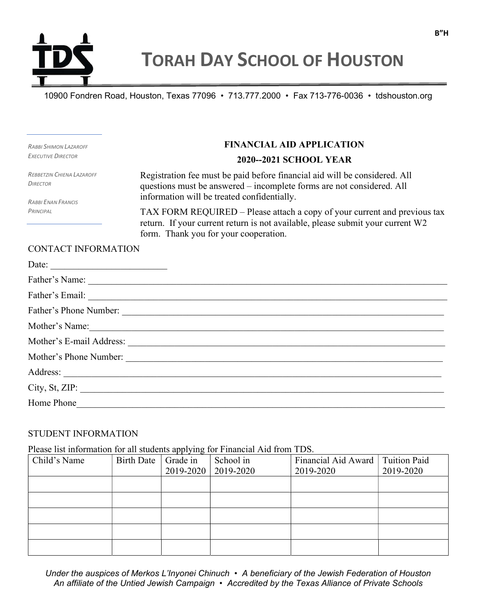

10900 Fondren Road, Houston, Texas 77096 • 713.777.2000 • Fax 713-776-0036 • tdshouston.org

RABBI SHIMON LAZAROFF EXECUTIVE DIRECTOR

FINANCIAL AID APPLICATION

2020--2021 SCHOOL YEAR

REBBETZIN CHIENA LAZAROFF **DIRECTOR** 

RABBI ENAN FRANCIS **PRINCIPAL** 

Registration fee must be paid before financial aid will be considered. All questions must be answered – incomplete forms are not considered. All information will be treated confidentially.

TAX FORM REQUIRED – Please attach a copy of your current and previous tax return. If your current return is not available, please submit your current W2 form. Thank you for your cooperation.

## CONTACT INFORMATION

| Date: $\qquad \qquad$                                                                                                                                                                                                          |
|--------------------------------------------------------------------------------------------------------------------------------------------------------------------------------------------------------------------------------|
|                                                                                                                                                                                                                                |
| Father's Email:                                                                                                                                                                                                                |
| Father's Phone Number:                                                                                                                                                                                                         |
| Mother's Name: Notice of the Mathematic Contract of the Mathematic Contract of the Mathematic Contract of the Mathematic Contract of the Mathematic Contract of the Mathematic Contract of the Mathematic Contract of the Math |
|                                                                                                                                                                                                                                |
| Mother's Phone Number:                                                                                                                                                                                                         |
|                                                                                                                                                                                                                                |
| City, St, ZIP:                                                                                                                                                                                                                 |
| Home Phone                                                                                                                                                                                                                     |

## STUDENT INFORMATION

Please list information for all students applying for Financial Aid from TDS.

| Child's Name | <b>Birth Date</b> | Grade in<br>2019-2020 | School in<br>2019-2020 | Financial Aid Award<br>2019-2020 | <b>Tuition Paid</b><br>2019-2020 |
|--------------|-------------------|-----------------------|------------------------|----------------------------------|----------------------------------|
|              |                   |                       |                        |                                  |                                  |
|              |                   |                       |                        |                                  |                                  |
|              |                   |                       |                        |                                  |                                  |
|              |                   |                       |                        |                                  |                                  |
|              |                   |                       |                        |                                  |                                  |
|              |                   |                       |                        |                                  |                                  |

Under the auspices of Merkos L'Inyonei Chinuch • A beneficiary of the Jewish Federation of Houston An affiliate of the Untied Jewish Campaign • Accredited by the Texas Alliance of Private Schools